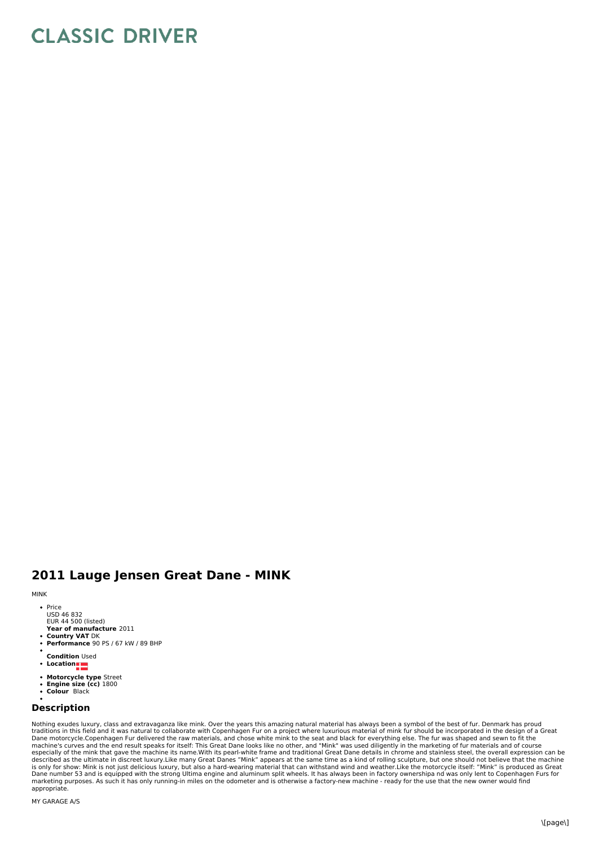## **CLASSIC DRIVER**

## **2011 Lauge Jensen Great Dane - MINK**

## MINK

• Price USD 46 832 EUR 44 500 (listed)

**Year of manufacture** 2011 **Country VAT** DK

- **Performance** 90 PS / 67 kW / 89 BHP
- **Condition** Used
- $\ddot{\phantom{0}}$ **Location**
- **Motorcycle type** Street
- **Engine size (cc)** 1800 **Colour** Black
- 

## **Description**

Nothing exudes luxury, class and extravaganza like mink. Over the years this amazing natural material has always been a symbol of the best of fur. Denmark has proud<br>traditions in this field and it was natural to collaborat Dane motorcycle.Copenhagen Fur delivered the raw materials, and chose white mink to the seat and black for everything else. The fur was shaped and sewn to fit the<br>machine's curves and the end result speaks for itself: This especially of the mink that gave the machine its name.With its pearl-white frame and traditional Great Dane details in chrome and stainless steel, the overall expression can be<br>described as the ultimate in discreet luxury. marketing purposes. As such it has only running-in miles on the odometer and is otherwise a factory-new machine - ready for the use that the new owner would find appropriate.

MY GARAGE A/S